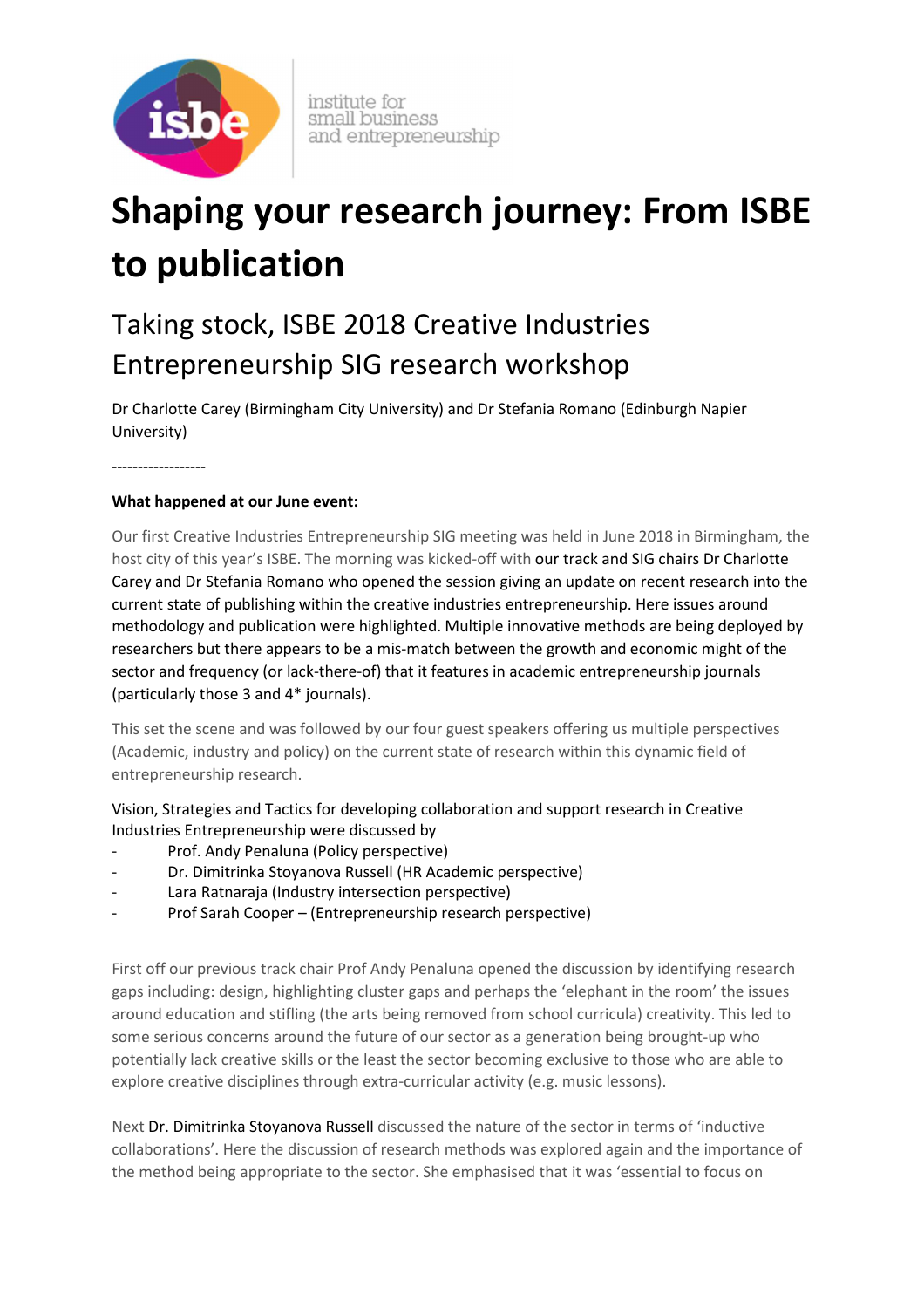

institute for small business and entrepreneurship

## **Shaping your research journey: From ISBE to publication**

## Taking stock, ISBE 2018 Creative Industries Entrepreneurship SIG research workshop

Dr Charlotte Carey (Birmingham City University) and Dr Stefania Romano (Edinburgh Napier University)

------------------

## **What happened at our June event:**

Our first Creative Industries Entrepreneurship SIG meeting was held in June 2018 in Birmingham, the host city of this year's ISBE. The morning was kicked-off with our track and SIG chairs Dr Charlotte Carey and Dr Stefania Romano who opened the session giving an update on recent research into the current state of publishing within the creative industries entrepreneurship. Here issues around methodology and publication were highlighted. Multiple innovative methods are being deployed by researchers but there appears to be a mis-match between the growth and economic might of the sector and frequency (or lack-there-of) that it features in academic entrepreneurship journals (particularly those 3 and 4\* journals).

This set the scene and was followed by our four guest speakers offering us multiple perspectives (Academic, industry and policy) on the current state of research within this dynamic field of entrepreneurship research.

Vision, Strategies and Tactics for developing collaboration and support research in Creative Industries Entrepreneurship were discussed by

- Prof. Andy Penaluna (Policy perspective)
- Dr. Dimitrinka Stoyanova Russell (HR Academic perspective)
- Lara Ratnaraja (Industry intersection perspective)
- Prof Sarah Cooper (Entrepreneurship research perspective)

First off our previous track chair Prof Andy Penaluna opened the discussion by identifying research gaps including: design, highlighting cluster gaps and perhaps the 'elephant in the room' the issues around education and stifling (the arts being removed from school curricula) creativity. This led to some serious concerns around the future of our sector as a generation being brought-up who potentially lack creative skills or the least the sector becoming exclusive to those who are able to explore creative disciplines through extra-curricular activity (e.g. music lessons).

Next Dr. Dimitrinka Stoyanova Russell discussed the nature of the sector in terms of 'inductive collaborations'. Here the discussion of research methods was explored again and the importance of the method being appropriate to the sector. She emphasised that it was 'essential to focus on